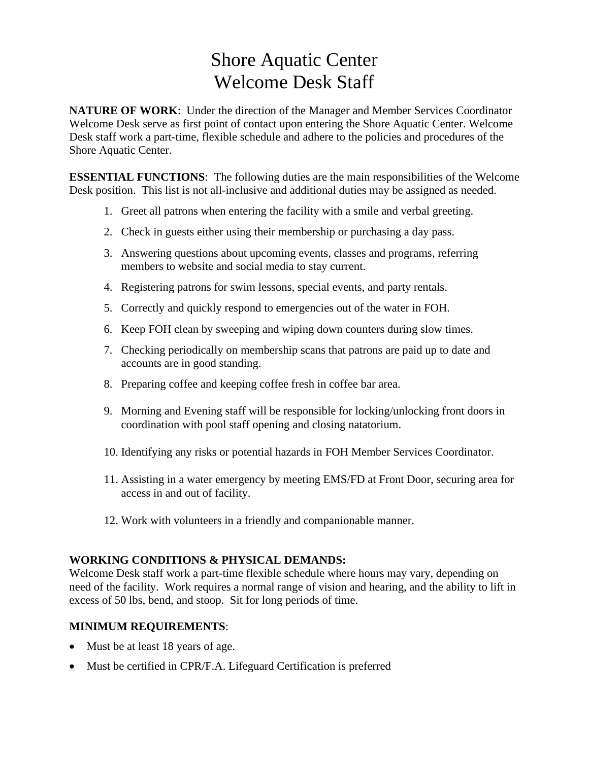# Shore Aquatic Center Welcome Desk Staff

**NATURE OF WORK**: Under the direction of the Manager and Member Services Coordinator Welcome Desk serve as first point of contact upon entering the Shore Aquatic Center. Welcome Desk staff work a part-time, flexible schedule and adhere to the policies and procedures of the Shore Aquatic Center.

**ESSENTIAL FUNCTIONS:** The following duties are the main responsibilities of the Welcome Desk position. This list is not all-inclusive and additional duties may be assigned as needed.

- 1. Greet all patrons when entering the facility with a smile and verbal greeting.
- 2. Check in guests either using their membership or purchasing a day pass.
- 3. Answering questions about upcoming events, classes and programs, referring members to website and social media to stay current.
- 4. Registering patrons for swim lessons, special events, and party rentals.
- 5. Correctly and quickly respond to emergencies out of the water in FOH.
- 6. Keep FOH clean by sweeping and wiping down counters during slow times.
- 7. Checking periodically on membership scans that patrons are paid up to date and accounts are in good standing.
- 8. Preparing coffee and keeping coffee fresh in coffee bar area.
- 9. Morning and Evening staff will be responsible for locking/unlocking front doors in coordination with pool staff opening and closing natatorium.
- 10. Identifying any risks or potential hazards in FOH Member Services Coordinator.
- 11. Assisting in a water emergency by meeting EMS/FD at Front Door, securing area for access in and out of facility.
- 12. Work with volunteers in a friendly and companionable manner.

### **WORKING CONDITIONS & PHYSICAL DEMANDS:**

Welcome Desk staff work a part-time flexible schedule where hours may vary, depending on need of the facility. Work requires a normal range of vision and hearing, and the ability to lift in excess of 50 lbs, bend, and stoop. Sit for long periods of time.

### **MINIMUM REQUIREMENTS**:

- Must be at least 18 years of age.
- Must be certified in CPR/F.A. Lifeguard Certification is preferred